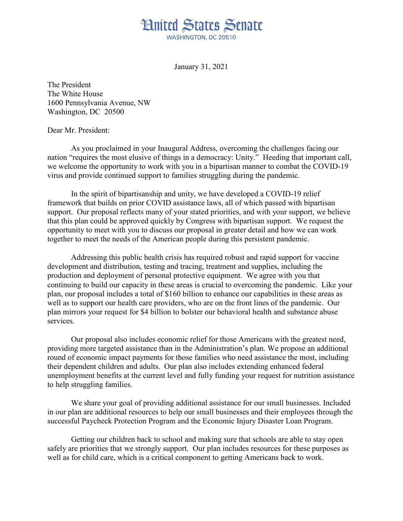

January 31, 2021

The President The White House 1600 Pennsylvania Avenue, NW Washington, DC 20500

## Dear Mr. President:

As you proclaimed in your Inaugural Address, overcoming the challenges facing our nation "requires the most elusive of things in a democracy: Unity." Heeding that important call, we welcome the opportunity to work with you in a bipartisan manner to combat the COVID-19 virus and provide continued support to families struggling during the pandemic.

In the spirit of bipartisanship and unity, we have developed a COVID-19 relief framework that builds on prior COVID assistance laws, all of which passed with bipartisan support. Our proposal reflects many of your stated priorities, and with your support, we believe that this plan could be approved quickly by Congress with bipartisan support. We request the opportunity to meet with you to discuss our proposal in greater detail and how we can work together to meet the needs of the American people during this persistent pandemic.

Addressing this public health crisis has required robust and rapid support for vaccine development and distribution, testing and tracing, treatment and supplies, including the production and deployment of personal protective equipment. We agree with you that continuing to build our capacity in these areas is crucial to overcoming the pandemic. Like your plan, our proposal includes a total of \$160 billion to enhance our capabilities in these areas as well as to support our health care providers, who are on the front lines of the pandemic. Our plan mirrors your request for \$4 billion to bolster our behavioral health and substance abuse services.

Our proposal also includes economic relief for those Americans with the greatest need, providing more targeted assistance than in the Administration's plan. We propose an additional round of economic impact payments for those families who need assistance the most, including their dependent children and adults. Our plan also includes extending enhanced federal unemployment benefits at the current level and fully funding your request for nutrition assistance to help struggling families.

We share your goal of providing additional assistance for our small businesses. Included in our plan are additional resources to help our small businesses and their employees through the successful Paycheck Protection Program and the Economic Injury Disaster Loan Program.

Getting our children back to school and making sure that schools are able to stay open safely are priorities that we strongly support. Our plan includes resources for these purposes as well as for child care, which is a critical component to getting Americans back to work.